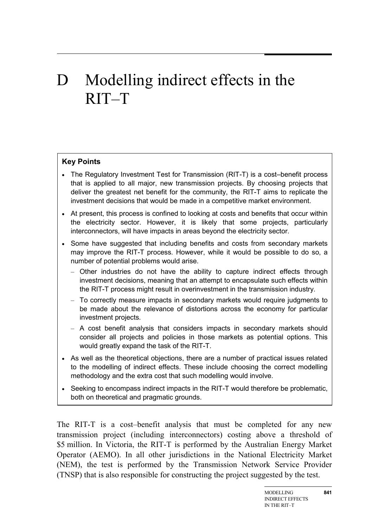# D Modelling indirect effects in the RIT–T

### **Key Points**

- The Regulatory Investment Test for Transmission (RIT-T) is a cost–benefit process that is applied to all major, new transmission projects. By choosing projects that deliver the greatest net benefit for the community, the RIT-T aims to replicate the investment decisions that would be made in a competitive market environment.
- At present, this process is confined to looking at costs and benefits that occur within the electricity sector. However, it is likely that some projects, particularly interconnectors, will have impacts in areas beyond the electricity sector.
- Some have suggested that including benefits and costs from secondary markets may improve the RIT-T process. However, while it would be possible to do so, a number of potential problems would arise.
	- Other industries do not have the ability to capture indirect effects through investment decisions, meaning that an attempt to encapsulate such effects within the RIT-T process might result in overinvestment in the transmission industry.
	- To correctly measure impacts in secondary markets would require judgments to be made about the relevance of distortions across the economy for particular investment projects.
	- A cost benefit analysis that considers impacts in secondary markets should consider all projects and policies in those markets as potential options. This would greatly expand the task of the RIT-T.
- As well as the theoretical objections, there are a number of practical issues related to the modelling of indirect effects. These include choosing the correct modelling methodology and the extra cost that such modelling would involve.
- Seeking to encompass indirect impacts in the RIT-T would therefore be problematic, both on theoretical and pragmatic grounds.

The RIT-T is a cost–benefit analysis that must be completed for any new transmission project (including interconnectors) costing above a threshold of \$5 million. In Victoria, the RIT-T is performed by the Australian Energy Market Operator (AEMO). In all other jurisdictions in the National Electricity Market (NEM), the test is performed by the Transmission Network Service Provider (TNSP) that is also responsible for constructing the project suggested by the test.

**841**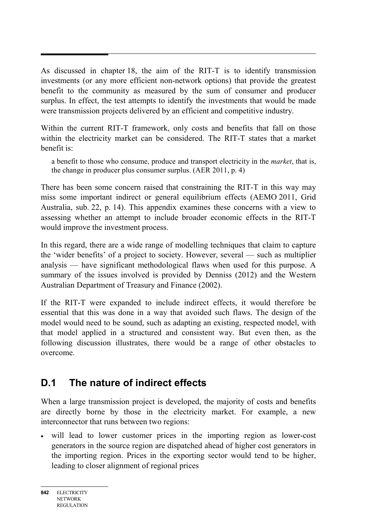As discussed in chapter 18, the aim of the RIT-T is to identify transmission investments (or any more efficient non-network options) that provide the greatest benefit to the community as measured by the sum of consumer and producer surplus. In effect, the test attempts to identify the investments that would be made were transmission projects delivered by an efficient and competitive industry.

Within the current RIT-T framework, only costs and benefits that fall on those within the electricity market can be considered. The RIT-T states that a market benefit is:

a benefit to those who consume, produce and transport electricity in the *market*, that is, the change in producer plus consumer surplus. (AER 2011, p. 4)

There has been some concern raised that constraining the RIT-T in this way may miss some important indirect or general equilibrium effects (AEMO 2011, Grid Australia, sub. 22, p. 14). This appendix examines these concerns with a view to assessing whether an attempt to include broader economic effects in the RIT-T would improve the investment process.

In this regard, there are a wide range of modelling techniques that claim to capture the 'wider benefits' of a project to society. However, several — such as multiplier analysis — have significant methodological flaws when used for this purpose. A summary of the issues involved is provided by Denniss (2012) and the Western Australian Department of Treasury and Finance (2002).

If the RIT-T were expanded to include indirect effects, it would therefore be essential that this was done in a way that avoided such flaws. The design of the model would need to be sound, such as adapting an existing, respected model, with that model applied in a structured and consistent way. But even then, as the following discussion illustrates, there would be a range of other obstacles to overcome.

### **D.1 The nature of indirect effects**

When a large transmission project is developed, the majority of costs and benefits are directly borne by those in the electricity market. For example, a new interconnector that runs between two regions:

• will lead to lower customer prices in the importing region as lower-cost generators in the source region are dispatched ahead of higher cost generators in the importing region. Prices in the exporting sector would tend to be higher, leading to closer alignment of regional prices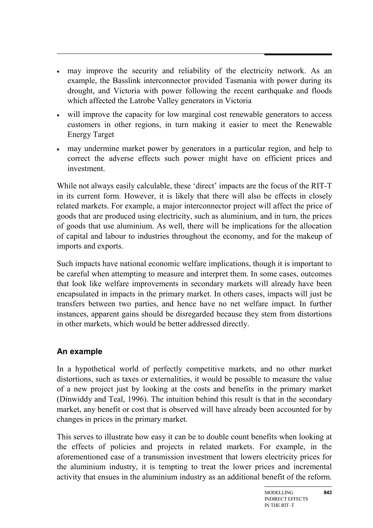- may improve the security and reliability of the electricity network. As an example, the Basslink interconnector provided Tasmania with power during its drought, and Victoria with power following the recent earthquake and floods which affected the Latrobe Valley generators in Victoria
- will improve the capacity for low marginal cost renewable generators to access customers in other regions, in turn making it easier to meet the Renewable Energy Target
- may undermine market power by generators in a particular region, and help to correct the adverse effects such power might have on efficient prices and investment.

While not always easily calculable, these 'direct' impacts are the focus of the RIT-T in its current form. However, it is likely that there will also be effects in closely related markets. For example, a major interconnector project will affect the price of goods that are produced using electricity, such as aluminium, and in turn, the prices of goods that use aluminium. As well, there will be implications for the allocation of capital and labour to industries throughout the economy, and for the makeup of imports and exports.

Such impacts have national economic welfare implications, though it is important to be careful when attempting to measure and interpret them. In some cases, outcomes that look like welfare improvements in secondary markets will already have been encapsulated in impacts in the primary market. In others cases, impacts will just be transfers between two parties, and hence have no net welfare impact. In further instances, apparent gains should be disregarded because they stem from distortions in other markets, which would be better addressed directly.

### **An example**

In a hypothetical world of perfectly competitive markets, and no other market distortions, such as taxes or externalities, it would be possible to measure the value of a new project just by looking at the costs and benefits in the primary market (Dinwiddy and Teal, 1996). The intuition behind this result is that in the secondary market, any benefit or cost that is observed will have already been accounted for by changes in prices in the primary market.

This serves to illustrate how easy it can be to double count benefits when looking at the effects of policies and projects in related markets. For example, in the aforementioned case of a transmission investment that lowers electricity prices for the aluminium industry, it is tempting to treat the lower prices and incremental activity that ensues in the aluminium industry as an additional benefit of the reform.

**843**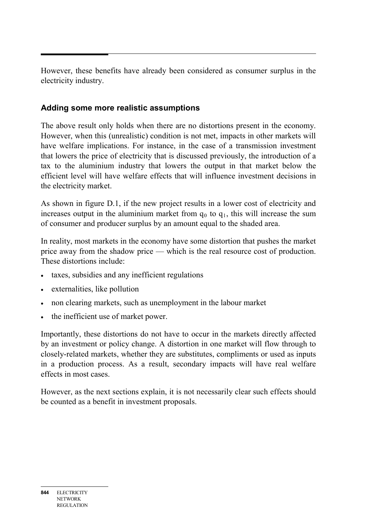However, these benefits have already been considered as consumer surplus in the electricity industry.

### **Adding some more realistic assumptions**

The above result only holds when there are no distortions present in the economy. However, when this (unrealistic) condition is not met, impacts in other markets will have welfare implications. For instance, in the case of a transmission investment that lowers the price of electricity that is discussed previously, the introduction of a tax to the aluminium industry that lowers the output in that market below the efficient level will have welfare effects that will influence investment decisions in the electricity market.

As shown in figure D.1, if the new project results in a lower cost of electricity and increases output in the aluminium market from  $q_0$  to  $q_1$ , this will increase the sum of consumer and producer surplus by an amount equal to the shaded area.

In reality, most markets in the economy have some distortion that pushes the market price away from the shadow price — which is the real resource cost of production. These distortions include:

- taxes, subsidies and any inefficient regulations
- externalities, like pollution
- non clearing markets, such as unemployment in the labour market
- the inefficient use of market power.

Importantly, these distortions do not have to occur in the markets directly affected by an investment or policy change. A distortion in one market will flow through to closely-related markets, whether they are substitutes, compliments or used as inputs in a production process. As a result, secondary impacts will have real welfare effects in most cases.

However, as the next sections explain, it is not necessarily clear such effects should be counted as a benefit in investment proposals.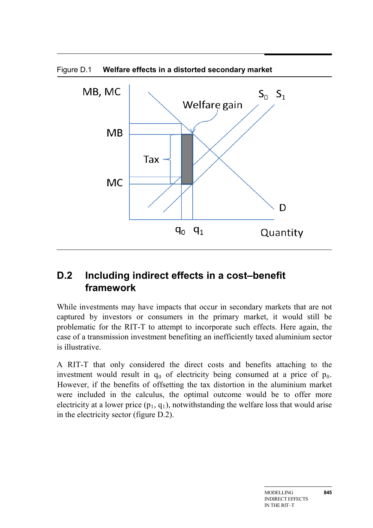

# **D.2 Including indirect effects in a cost–benefit framework**

While investments may have impacts that occur in secondary markets that are not captured by investors or consumers in the primary market, it would still be problematic for the RIT-T to attempt to incorporate such effects. Here again, the case of a transmission investment benefiting an inefficiently taxed aluminium sector is illustrative.

A RIT-T that only considered the direct costs and benefits attaching to the investment would result in  $q_0$  of electricity being consumed at a price of  $p_0$ . However, if the benefits of offsetting the tax distortion in the aluminium market were included in the calculus, the optimal outcome would be to offer more electricity at a lower price  $(p_1, q_1)$ , notwithstanding the welfare loss that would arise in the electricity sector (figure D.2).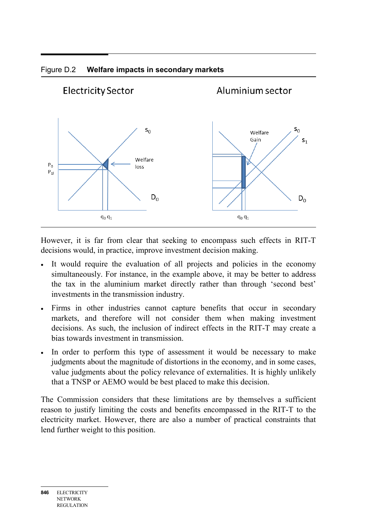

#### Figure D.2 **Welfare impacts in secondary markets**

However, it is far from clear that seeking to encompass such effects in RIT-T decisions would, in practice, improve investment decision making.

- It would require the evaluation of all projects and policies in the economy simultaneously. For instance, in the example above, it may be better to address the tax in the aluminium market directly rather than through 'second best' investments in the transmission industry.
- Firms in other industries cannot capture benefits that occur in secondary markets, and therefore will not consider them when making investment decisions. As such, the inclusion of indirect effects in the RIT-T may create a bias towards investment in transmission.
- In order to perform this type of assessment it would be necessary to make judgments about the magnitude of distortions in the economy, and in some cases, value judgments about the policy relevance of externalities. It is highly unlikely that a TNSP or AEMO would be best placed to make this decision.

The Commission considers that these limitations are by themselves a sufficient reason to justify limiting the costs and benefits encompassed in the RIT-T to the electricity market. However, there are also a number of practical constraints that lend further weight to this position.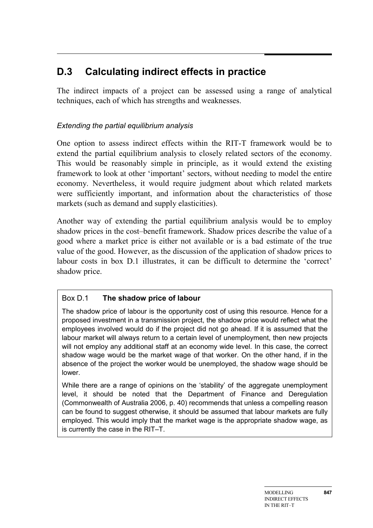## **D.3 Calculating indirect effects in practice**

The indirect impacts of a project can be assessed using a range of analytical techniques, each of which has strengths and weaknesses.

### *Extending the partial equilibrium analysis*

One option to assess indirect effects within the RIT-T framework would be to extend the partial equilibrium analysis to closely related sectors of the economy. This would be reasonably simple in principle, as it would extend the existing framework to look at other 'important' sectors, without needing to model the entire economy. Nevertheless, it would require judgment about which related markets were sufficiently important, and information about the characteristics of those markets (such as demand and supply elasticities).

Another way of extending the partial equilibrium analysis would be to employ shadow prices in the cost–benefit framework. Shadow prices describe the value of a good where a market price is either not available or is a bad estimate of the true value of the good. However, as the discussion of the application of shadow prices to labour costs in box D.1 illustrates, it can be difficult to determine the 'correct' shadow price.

#### Box D.1 **The shadow price of labour**

The shadow price of labour is the opportunity cost of using this resource. Hence for a proposed investment in a transmission project, the shadow price would reflect what the employees involved would do if the project did not go ahead. If it is assumed that the labour market will always return to a certain level of unemployment, then new projects will not employ any additional staff at an economy wide level. In this case, the correct shadow wage would be the market wage of that worker. On the other hand, if in the absence of the project the worker would be unemployed, the shadow wage should be lower.

While there are a range of opinions on the 'stability' of the aggregate unemployment level, it should be noted that the Department of Finance and Deregulation (Commonwealth of Australia 2006, p. 40) recommends that unless a compelling reason can be found to suggest otherwise, it should be assumed that labour markets are fully employed. This would imply that the market wage is the appropriate shadow wage, as is currently the case in the RIT–T.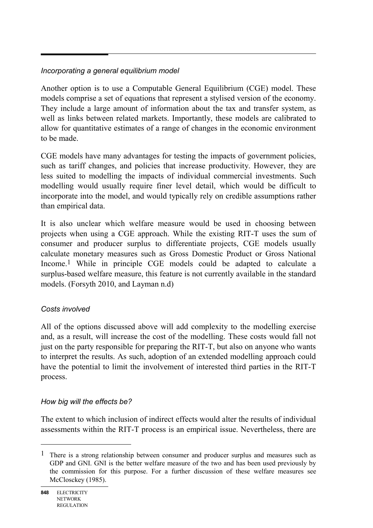### *Incorporating a general equilibrium model*

Another option is to use a Computable General Equilibrium (CGE) model. These models comprise a set of equations that represent a stylised version of the economy. They include a large amount of information about the tax and transfer system, as well as links between related markets. Importantly, these models are calibrated to allow for quantitative estimates of a range of changes in the economic environment to be made.

CGE models have many advantages for testing the impacts of government policies, such as tariff changes, and policies that increase productivity. However, they are less suited to modelling the impacts of individual commercial investments. Such modelling would usually require finer level detail, which would be difficult to incorporate into the model, and would typically rely on credible assumptions rather than empirical data.

It is also unclear which welfare measure would be used in choosing between projects when using a CGE approach. While the existing RIT-T uses the sum of consumer and producer surplus to differentiate projects, CGE models usually calculate monetary measures such as Gross Domestic Product or Gross National Income.1 While in principle CGE models could be adapted to calculate a surplus-based welfare measure, this feature is not currently available in the standard models. (Forsyth 2010, and Layman n.d)

#### *Costs involved*

All of the options discussed above will add complexity to the modelling exercise and, as a result, will increase the cost of the modelling. These costs would fall not just on the party responsible for preparing the RIT-T, but also on anyone who wants to interpret the results. As such, adoption of an extended modelling approach could have the potential to limit the involvement of interested third parties in the RIT-T process.

#### *How big will the effects be?*

The extent to which inclusion of indirect effects would alter the results of individual assessments within the RIT-T process is an empirical issue. Nevertheless, there are

 $\overline{a}$ 

<sup>&</sup>lt;sup>1</sup> There is a strong relationship between consumer and producer surplus and measures such as GDP and GNI. GNI is the better welfare measure of the two and has been used previously by the commission for this purpose. For a further discussion of these welfare measures see McClosckey (1985).